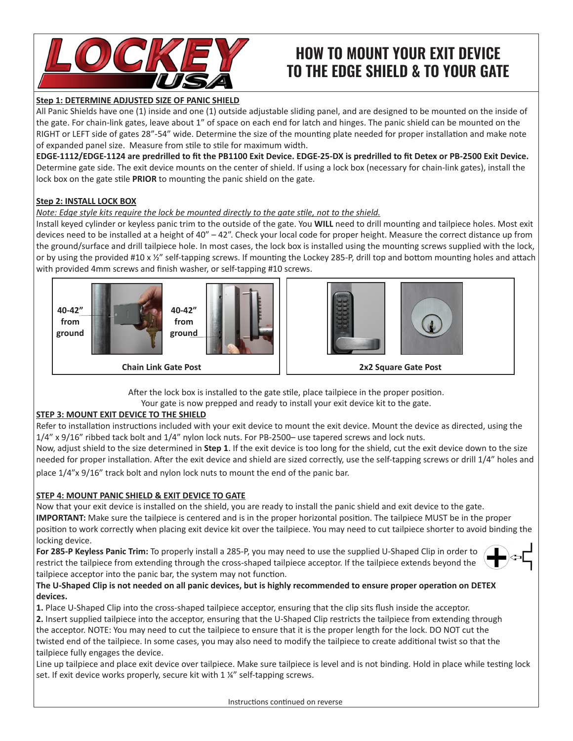

# **HOW TO MOUNT YOUR EXIT DEVICE TO THE EDGE SHIELD & TO YOUR GATE**

## **Step 1: DETERMINE ADJUSTED SIZE OF PANIC SHIELD**

All Panic Shields have one (1) inside and one (1) outside adjustable sliding panel, and are designed to be mounted on the inside of the gate. For chain-link gates, leave about 1" of space on each end for latch and hinges. The panic shield can be mounted on the RIGHT or LEFT side of gates 28"-54" wide. Determine the size of the mounting plate needed for proper installation and make note of expanded panel size. Measure from stile to stile for maximum width.

**EDGE-1112/EDGE-1124 are predrilled to fit the PB1100 Exit Device. EDGE-25-DX is predrilled to fit Detex or PB-2500 Exit Device.**  Determine gate side. The exit device mounts on the center of shield. If using a lock box (necessary for chain-link gates), install the lock box on the gate stile **PRIOR** to mounting the panic shield on the gate.

## **Step 2: INSTALL LOCK BOX**

## *Note: Edge style kits require the lock be mounted directly to the gate stile, not to the shield.*

Install keyed cylinder or keyless panic trim to the outside of the gate. You **WILL** need to drill mounting and tailpiece holes. Most exit devices need to be installed at a height of 40" – 42". Check your local code for proper height. Measure the correct distance up from the ground/surface and drill tailpiece hole. In most cases, the lock box is installed using the mounting screws supplied with the lock, or by using the provided #10 x 1/2" self-tapping screws. If mounting the Lockey 285-P, drill top and bottom mounting holes and attach with provided 4mm screws and finish washer, or self-tapping #10 screws.





After the lock box is installed to the gate stile, place tailpiece in the proper position.

Your gate is now prepped and ready to install your exit device kit to the gate.

## **STEP 3: MOUNT EXIT DEVICE TO THE SHIELD**

Refer to installation instructions included with your exit device to mount the exit device. Mount the device as directed, using the 1/4" x 9/16" ribbed tack bolt and 1/4" nylon lock nuts. For PB-2500– use tapered screws and lock nuts.

Now, adjust shield to the size determined in **Step 1**. If the exit device is too long for the shield, cut the exit device down to the size needed for proper installation. After the exit device and shield are sized correctly, use the self-tapping screws or drill 1/4" holes and place 1/4"x 9/16" track bolt and nylon lock nuts to mount the end of the panic bar.

## **STEP 4: MOUNT PANIC SHIELD & EXIT DEVICE TO GATE**

Now that your exit device is installed on the shield, you are ready to install the panic shield and exit device to the gate. **IMPORTANT:** Make sure the tailpiece is centered and is in the proper horizontal position. The tailpiece MUST be in the proper position to work correctly when placing exit device kit over the tailpiece. You may need to cut tailpiece shorter to avoid binding the locking device.

**For 285-P Keyless Panic Trim:** To properly install a 285-P, you may need to use the supplied U-Shaped Clip in order to restrict the tailpiece from extending through the cross-shaped tailpiece acceptor. If the tailpiece extends beyond the tailpiece acceptor into the panic bar, the system may not function.



## **The U-Shaped Clip is not needed on all panic devices, but is highly recommended to ensure proper operation on DETEX devices.**

**1.** Place U-Shaped Clip into the cross-shaped tailpiece acceptor, ensuring that the clip sits flush inside the acceptor.

**2.** Insert supplied tailpiece into the acceptor, ensuring that the U-Shaped Clip restricts the tailpiece from extending through the acceptor. NOTE: You may need to cut the tailpiece to ensure that it is the proper length for the lock. DO NOT cut the twisted end of the tailpiece. In some cases, you may also need to modify the tailpiece to create additional twist so that the tailpiece fully engages the device.

Line up tailpiece and place exit device over tailpiece. Make sure tailpiece is level and is not binding. Hold in place while testing lock set. If exit device works properly, secure kit with 1 ¼" self-tapping screws.